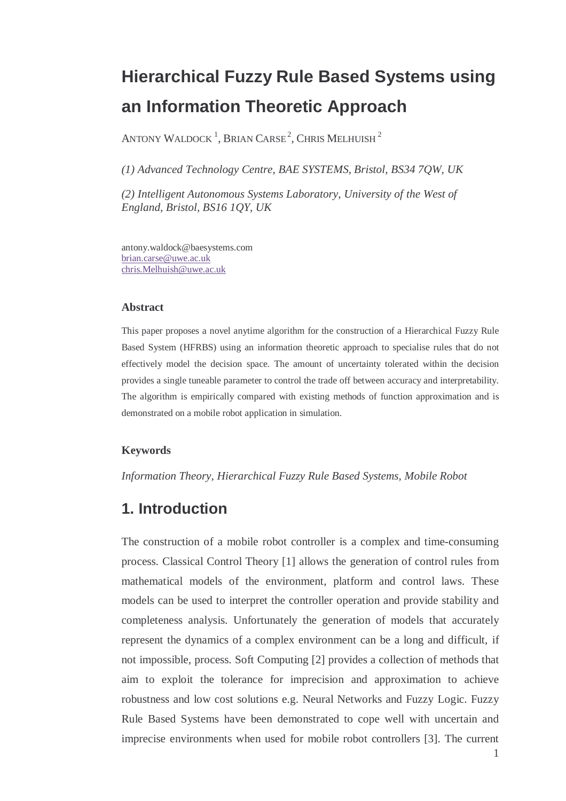# **Hierarchical Fuzzy Rule Based Systems using an Information Theoretic Approach**

ANTONY WALDOCK  $^1$ , Brian Carse  $^2$ , Chris Melhuish  $^2$ 

*(1) Advanced Technology Centre, BAE SYSTEMS, Bristol, BS34 7QW, UK* 

*(2) Intelligent Autonomous Systems Laboratory, University of the West of England, Bristol, BS16 1QY, UK* 

antony.waldock@baesystems.com brian.carse@uwe.ac.uk chris.Melhuish@uwe.ac.uk

#### **Abstract**

This paper proposes a novel anytime algorithm for the construction of a Hierarchical Fuzzy Rule Based System (HFRBS) using an information theoretic approach to specialise rules that do not effectively model the decision space. The amount of uncertainty tolerated within the decision provides a single tuneable parameter to control the trade off between accuracy and interpretability. The algorithm is empirically compared with existing methods of function approximation and is demonstrated on a mobile robot application in simulation.

#### **Keywords**

*Information Theory, Hierarchical Fuzzy Rule Based Systems, Mobile Robot* 

### **1. Introduction**

The construction of a mobile robot controller is a complex and time-consuming process. Classical Control Theory [1] allows the generation of control rules from mathematical models of the environment, platform and control laws. These models can be used to interpret the controller operation and provide stability and completeness analysis. Unfortunately the generation of models that accurately represent the dynamics of a complex environment can be a long and difficult, if not impossible, process. Soft Computing [2] provides a collection of methods that aim to exploit the tolerance for imprecision and approximation to achieve robustness and low cost solutions e.g. Neural Networks and Fuzzy Logic. Fuzzy Rule Based Systems have been demonstrated to cope well with uncertain and imprecise environments when used for mobile robot controllers [3]. The current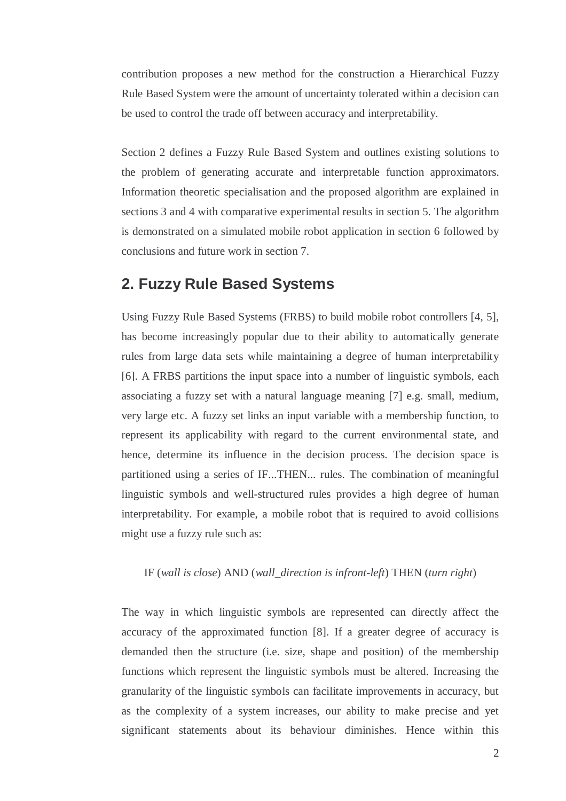contribution proposes a new method for the construction a Hierarchical Fuzzy Rule Based System were the amount of uncertainty tolerated within a decision can be used to control the trade off between accuracy and interpretability.

Section 2 defines a Fuzzy Rule Based System and outlines existing solutions to the problem of generating accurate and interpretable function approximators. Information theoretic specialisation and the proposed algorithm are explained in sections 3 and 4 with comparative experimental results in section 5. The algorithm is demonstrated on a simulated mobile robot application in section 6 followed by conclusions and future work in section 7.

### **2. Fuzzy Rule Based Systems**

Using Fuzzy Rule Based Systems (FRBS) to build mobile robot controllers [4, 5], has become increasingly popular due to their ability to automatically generate rules from large data sets while maintaining a degree of human interpretability [6]. A FRBS partitions the input space into a number of linguistic symbols, each associating a fuzzy set with a natural language meaning [7] e.g. small, medium, very large etc. A fuzzy set links an input variable with a membership function, to represent its applicability with regard to the current environmental state, and hence, determine its influence in the decision process. The decision space is partitioned using a series of IF...THEN... rules. The combination of meaningful linguistic symbols and well-structured rules provides a high degree of human interpretability. For example, a mobile robot that is required to avoid collisions might use a fuzzy rule such as:

#### IF (*wall is close*) AND (*wall\_direction is infront-left*) THEN (*turn right*)

The way in which linguistic symbols are represented can directly affect the accuracy of the approximated function [8]. If a greater degree of accuracy is demanded then the structure (i.e. size, shape and position) of the membership functions which represent the linguistic symbols must be altered. Increasing the granularity of the linguistic symbols can facilitate improvements in accuracy, but as the complexity of a system increases, our ability to make precise and yet significant statements about its behaviour diminishes. Hence within this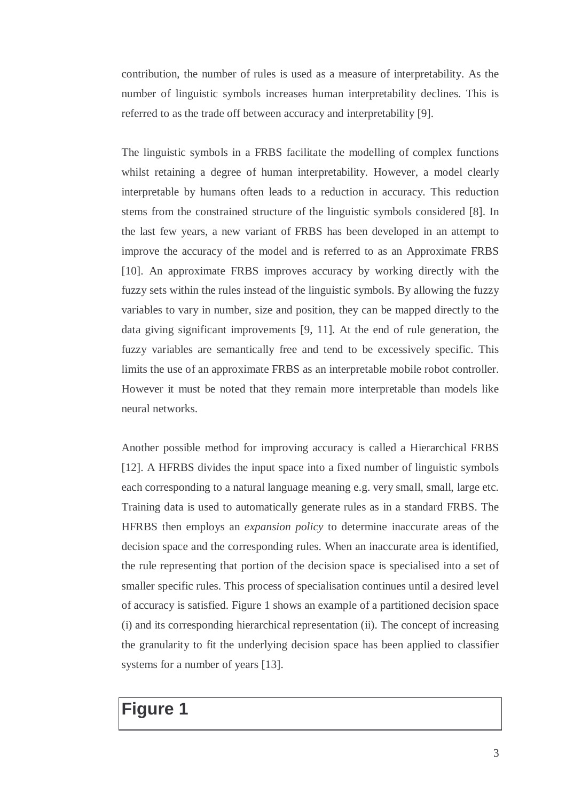contribution, the number of rules is used as a measure of interpretability. As the number of linguistic symbols increases human interpretability declines. This is referred to as the trade off between accuracy and interpretability [9].

The linguistic symbols in a FRBS facilitate the modelling of complex functions whilst retaining a degree of human interpretability. However, a model clearly interpretable by humans often leads to a reduction in accuracy. This reduction stems from the constrained structure of the linguistic symbols considered [8]. In the last few years, a new variant of FRBS has been developed in an attempt to improve the accuracy of the model and is referred to as an Approximate FRBS [10]. An approximate FRBS improves accuracy by working directly with the fuzzy sets within the rules instead of the linguistic symbols. By allowing the fuzzy variables to vary in number, size and position, they can be mapped directly to the data giving significant improvements [9, 11]. At the end of rule generation, the fuzzy variables are semantically free and tend to be excessively specific. This limits the use of an approximate FRBS as an interpretable mobile robot controller. However it must be noted that they remain more interpretable than models like neural networks.

Another possible method for improving accuracy is called a Hierarchical FRBS [12]. A HFRBS divides the input space into a fixed number of linguistic symbols each corresponding to a natural language meaning e.g. very small, small, large etc. Training data is used to automatically generate rules as in a standard FRBS. The HFRBS then employs an *expansion policy* to determine inaccurate areas of the decision space and the corresponding rules. When an inaccurate area is identified, the rule representing that portion of the decision space is specialised into a set of smaller specific rules. This process of specialisation continues until a desired level of accuracy is satisfied. Figure 1 shows an example of a partitioned decision space (i) and its corresponding hierarchical representation (ii). The concept of increasing the granularity to fit the underlying decision space has been applied to classifier systems for a number of years [13].

## **Figure 1**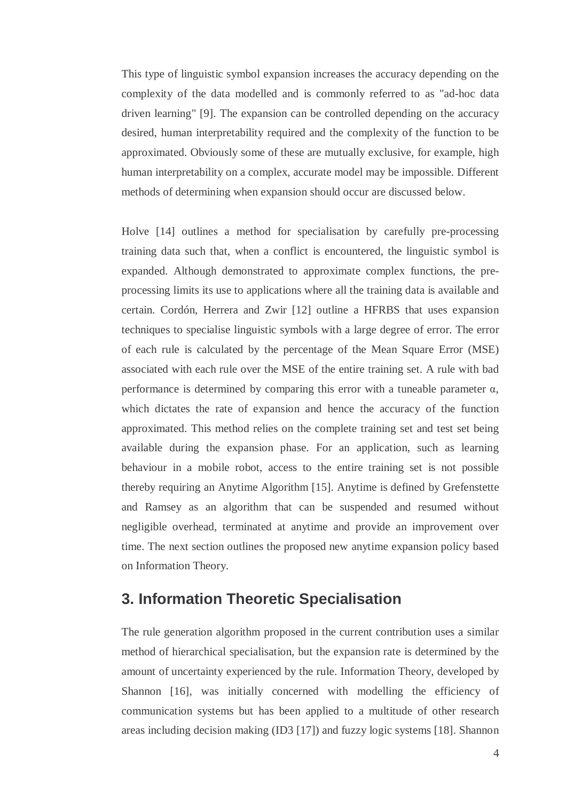This type of linguistic symbol expansion increases the accuracy depending on the complexity of the data modelled and is commonly referred to as "ad-hoc data driven learning" [9]. The expansion can be controlled depending on the accuracy desired, human interpretability required and the complexity of the function to be approximated. Obviously some of these are mutually exclusive, for example, high human interpretability on a complex, accurate model may be impossible. Different methods of determining when expansion should occur are discussed below.

Holve [14] outlines a method for specialisation by carefully pre-processing training data such that, when a conflict is encountered, the linguistic symbol is expanded. Although demonstrated to approximate complex functions, the preprocessing limits its use to applications where all the training data is available and certain. Cordón, Herrera and Zwir [12] outline a HFRBS that uses expansion techniques to specialise linguistic symbols with a large degree of error. The error of each rule is calculated by the percentage of the Mean Square Error (MSE) associated with each rule over the MSE of the entire training set. A rule with bad performance is determined by comparing this error with a tuneable parameter  $\alpha$ , which dictates the rate of expansion and hence the accuracy of the function approximated. This method relies on the complete training set and test set being available during the expansion phase. For an application, such as learning behaviour in a mobile robot, access to the entire training set is not possible thereby requiring an Anytime Algorithm [15]. Anytime is defined by Grefenstette and Ramsey as an algorithm that can be suspended and resumed without negligible overhead, terminated at anytime and provide an improvement over time. The next section outlines the proposed new anytime expansion policy based on Information Theory.

### **3. Information Theoretic Specialisation**

The rule generation algorithm proposed in the current contribution uses a similar method of hierarchical specialisation, but the expansion rate is determined by the amount of uncertainty experienced by the rule. Information Theory, developed by Shannon [16], was initially concerned with modelling the efficiency of communication systems but has been applied to a multitude of other research areas including decision making (ID3 [17]) and fuzzy logic systems [18]. Shannon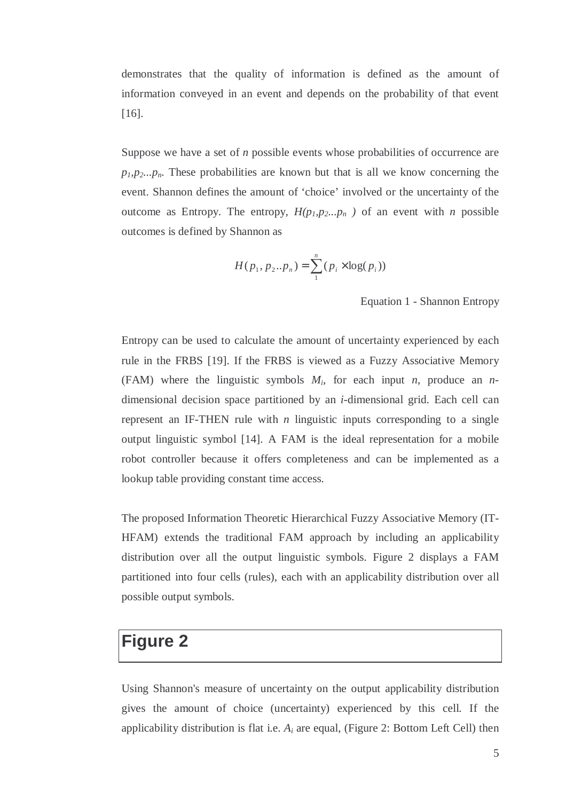demonstrates that the quality of information is defined as the amount of information conveyed in an event and depends on the probability of that event [16].

Suppose we have a set of *n* possible events whose probabilities of occurrence are  $p_1, p_2, \ldots, p_n$ . These probabilities are known but that is all we know concerning the event. Shannon defines the amount of 'choice' involved or the uncertainty of the outcome as Entropy. The entropy,  $H(p_1, p_2, \ldots, p_n)$  of an event with *n* possible outcomes is defined by Shannon as

$$
H(p_1, p_2..p_n) = \sum_{1}^{n} (p_i \times \log(p_i))
$$

Equation 1 - Shannon Entropy

Entropy can be used to calculate the amount of uncertainty experienced by each rule in the FRBS [19]. If the FRBS is viewed as a Fuzzy Associative Memory (FAM) where the linguistic symbols *Mi*, for each input *n*, produce an *n*dimensional decision space partitioned by an *i*-dimensional grid. Each cell can represent an IF-THEN rule with *n* linguistic inputs corresponding to a single output linguistic symbol [14]. A FAM is the ideal representation for a mobile robot controller because it offers completeness and can be implemented as a lookup table providing constant time access.

The proposed Information Theoretic Hierarchical Fuzzy Associative Memory (IT-HFAM) extends the traditional FAM approach by including an applicability distribution over all the output linguistic symbols. Figure 2 displays a FAM partitioned into four cells (rules), each with an applicability distribution over all possible output symbols.

### **Figure 2**

Using Shannon's measure of uncertainty on the output applicability distribution gives the amount of choice (uncertainty) experienced by this cell. If the applicability distribution is flat i.e.  $A_i$  are equal, (Figure 2: Bottom Left Cell) then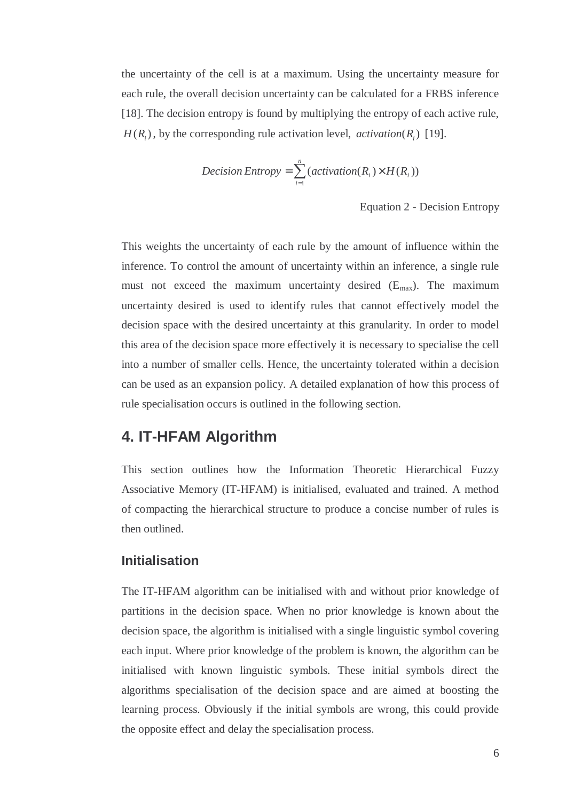the uncertainty of the cell is at a maximum. Using the uncertainty measure for each rule, the overall decision uncertainty can be calculated for a FRBS inference [18]. The decision entropy is found by multiplying the entropy of each active rule,  $H(R_i)$ , by the corresponding rule activation level, *activation*( $R_i$ ) [19].

$$
Decision Entropy = \sum_{i=1}^{n} (activation(R_i) \times H(R_i))
$$

Equation 2 - Decision Entropy

This weights the uncertainty of each rule by the amount of influence within the inference. To control the amount of uncertainty within an inference, a single rule must not exceed the maximum uncertainty desired  $(E_{\text{max}})$ . The maximum uncertainty desired is used to identify rules that cannot effectively model the decision space with the desired uncertainty at this granularity. In order to model this area of the decision space more effectively it is necessary to specialise the cell into a number of smaller cells. Hence, the uncertainty tolerated within a decision can be used as an expansion policy. A detailed explanation of how this process of rule specialisation occurs is outlined in the following section.

### **4. IT-HFAM Algorithm**

This section outlines how the Information Theoretic Hierarchical Fuzzy Associative Memory (IT-HFAM) is initialised, evaluated and trained. A method of compacting the hierarchical structure to produce a concise number of rules is then outlined.

#### **Initialisation**

The IT-HFAM algorithm can be initialised with and without prior knowledge of partitions in the decision space. When no prior knowledge is known about the decision space, the algorithm is initialised with a single linguistic symbol covering each input. Where prior knowledge of the problem is known, the algorithm can be initialised with known linguistic symbols. These initial symbols direct the algorithms specialisation of the decision space and are aimed at boosting the learning process. Obviously if the initial symbols are wrong, this could provide the opposite effect and delay the specialisation process.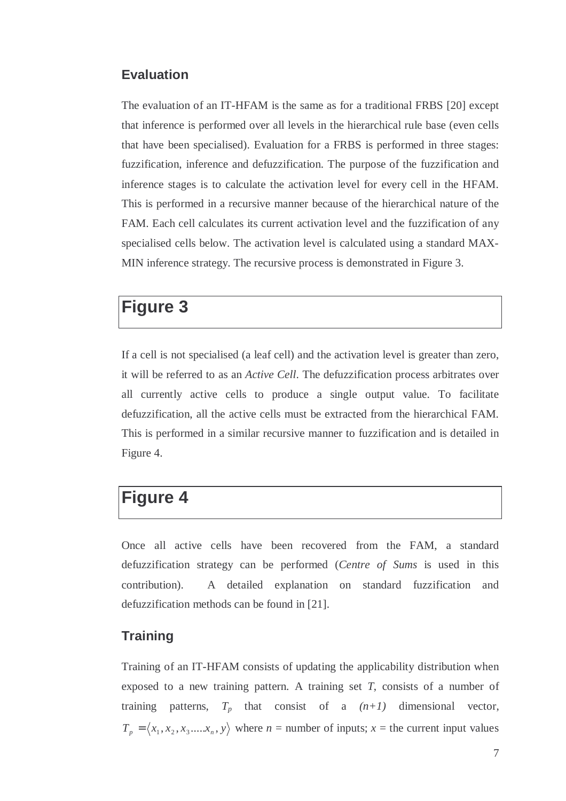#### **Evaluation**

The evaluation of an IT-HFAM is the same as for a traditional FRBS [20] except that inference is performed over all levels in the hierarchical rule base (even cells that have been specialised). Evaluation for a FRBS is performed in three stages: fuzzification, inference and defuzzification. The purpose of the fuzzification and inference stages is to calculate the activation level for every cell in the HFAM. This is performed in a recursive manner because of the hierarchical nature of the FAM. Each cell calculates its current activation level and the fuzzification of any specialised cells below. The activation level is calculated using a standard MAX-MIN inference strategy. The recursive process is demonstrated in Figure 3.

### **Figure 3**

If a cell is not specialised (a leaf cell) and the activation level is greater than zero, it will be referred to as an *Active Cell*. The defuzzification process arbitrates over all currently active cells to produce a single output value. To facilitate defuzzification, all the active cells must be extracted from the hierarchical FAM. This is performed in a similar recursive manner to fuzzification and is detailed in Figure 4.

# **Figure 4**

Once all active cells have been recovered from the FAM, a standard defuzzification strategy can be performed (*Centre of Sums* is used in this contribution). A detailed explanation on standard fuzzification and defuzzification methods can be found in [21].

#### **Training**

Training of an IT-HFAM consists of updating the applicability distribution when exposed to a new training pattern. A training set *T*, consists of a number of training patterns,  $T_p$  that consist of a  $(n+1)$  dimensional vector,  $T_p = \langle x_1, x_2, x_3, \dots, x_n, y \rangle$  where  $n =$  number of inputs;  $x =$  the current input values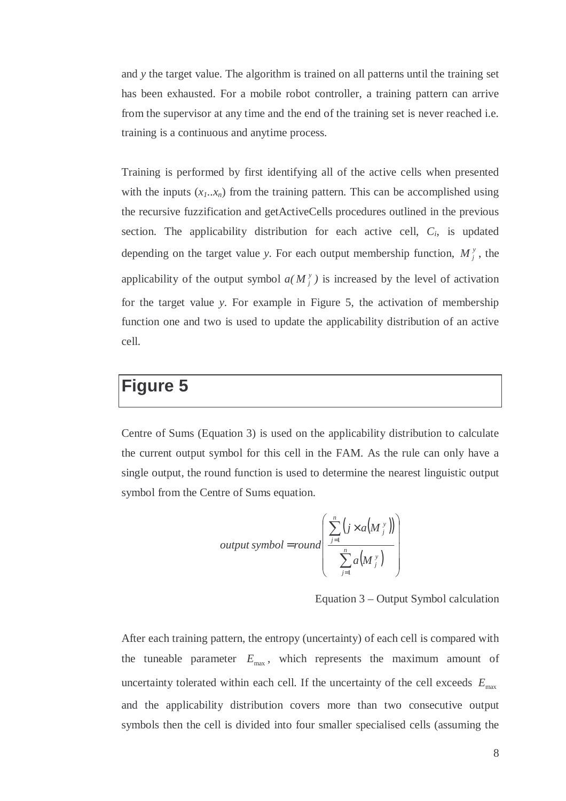and *y* the target value. The algorithm is trained on all patterns until the training set has been exhausted. For a mobile robot controller, a training pattern can arrive from the supervisor at any time and the end of the training set is never reached i.e. training is a continuous and anytime process.

Training is performed by first identifying all of the active cells when presented with the inputs  $(x_1, x_n)$  from the training pattern. This can be accomplished using the recursive fuzzification and getActiveCells procedures outlined in the previous section. The applicability distribution for each active cell, *Ci*, is updated depending on the target value *y*. For each output membership function,  $M_j^y$ , the applicability of the output symbol  $a(M_j^y)$  is increased by the level of activation for the target value *y*. For example in Figure 5, the activation of membership function one and two is used to update the applicability distribution of an active cell.

## **Figure 5**

Centre of Sums (Equation 3) is used on the applicability distribution to calculate the current output symbol for this cell in the FAM. As the rule can only have a single output, the round function is used to determine the nearest linguistic output symbol from the Centre of Sums equation.

output symbol = round 
$$
\left(\frac{\sum_{j=1}^{n} (j \times a(M_{j}^{y}))}{\sum_{j=1}^{n} a(M_{j}^{y})}\right)
$$

Equation 3 – Output Symbol calculation

After each training pattern, the entropy (uncertainty) of each cell is compared with the tuneable parameter  $E_{\text{max}}$ , which represents the maximum amount of uncertainty tolerated within each cell. If the uncertainty of the cell exceeds  $E_{\text{max}}$ and the applicability distribution covers more than two consecutive output symbols then the cell is divided into four smaller specialised cells (assuming the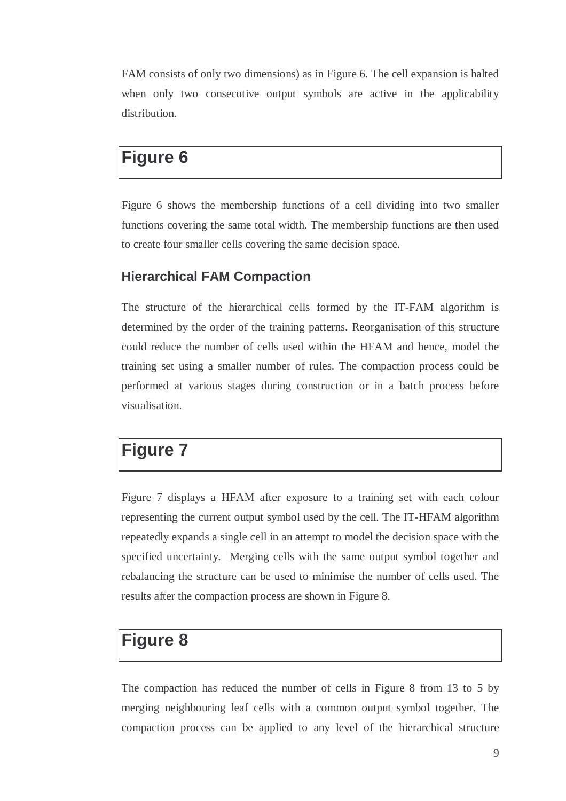FAM consists of only two dimensions) as in Figure 6. The cell expansion is halted when only two consecutive output symbols are active in the applicability distribution.

## **Figure 6**

Figure 6 shows the membership functions of a cell dividing into two smaller functions covering the same total width. The membership functions are then used to create four smaller cells covering the same decision space.

### **Hierarchical FAM Compaction**

The structure of the hierarchical cells formed by the IT-FAM algorithm is determined by the order of the training patterns. Reorganisation of this structure could reduce the number of cells used within the HFAM and hence, model the training set using a smaller number of rules. The compaction process could be performed at various stages during construction or in a batch process before visualisation.

# **Figure 7**

Figure 7 displays a HFAM after exposure to a training set with each colour representing the current output symbol used by the cell. The IT-HFAM algorithm repeatedly expands a single cell in an attempt to model the decision space with the specified uncertainty. Merging cells with the same output symbol together and rebalancing the structure can be used to minimise the number of cells used. The results after the compaction process are shown in Figure 8.

## **Figure 8**

The compaction has reduced the number of cells in Figure 8 from 13 to 5 by merging neighbouring leaf cells with a common output symbol together. The compaction process can be applied to any level of the hierarchical structure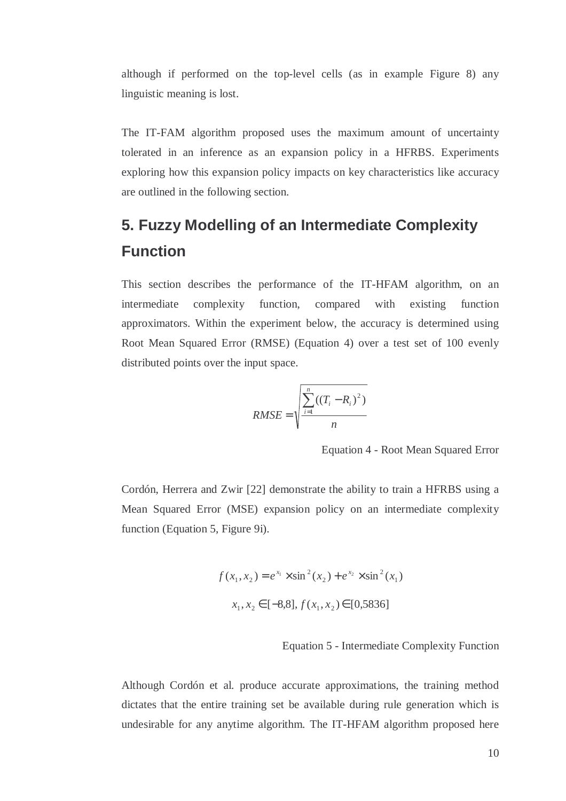although if performed on the top-level cells (as in example Figure 8) any linguistic meaning is lost.

The IT-FAM algorithm proposed uses the maximum amount of uncertainty tolerated in an inference as an expansion policy in a HFRBS. Experiments exploring how this expansion policy impacts on key characteristics like accuracy are outlined in the following section.

# **5. Fuzzy Modelling of an Intermediate Complexity Function**

This section describes the performance of the IT-HFAM algorithm, on an intermediate complexity function, compared with existing function approximators. Within the experiment below, the accuracy is determined using Root Mean Squared Error (RMSE) (Equation 4) over a test set of 100 evenly distributed points over the input space.

$$
RMSE = \sqrt{\frac{\sum_{i=1}^{n} ((T_i - R_i)^2)}{n}}
$$

Equation 4 - Root Mean Squared Error

Cordón, Herrera and Zwir [22] demonstrate the ability to train a HFRBS using a Mean Squared Error (MSE) expansion policy on an intermediate complexity function (Equation 5, Figure 9i).

$$
f(x_1, x_2) = e^{x_1} \times \sin^2(x_2) + e^{x_2} \times \sin^2(x_1)
$$
  

$$
x_1, x_2 \in [-8, 8], f(x_1, x_2) \in [0, 5836]
$$

Equation 5 - Intermediate Complexity Function

Although Cordón et al. produce accurate approximations, the training method dictates that the entire training set be available during rule generation which is undesirable for any anytime algorithm. The IT-HFAM algorithm proposed here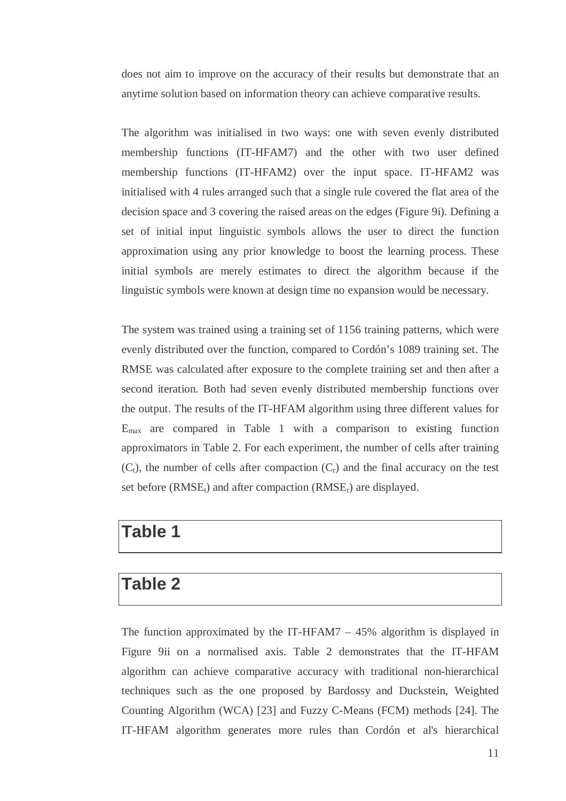does not aim to improve on the accuracy of their results but demonstrate that an anytime solution based on information theory can achieve comparative results.

The algorithm was initialised in two ways: one with seven evenly distributed membership functions (IT-HFAM7) and the other with two user defined membership functions (IT-HFAM2) over the input space. IT-HFAM2 was initialised with 4 rules arranged such that a single rule covered the flat area of the decision space and 3 covering the raised areas on the edges (Figure 9i). Defining a set of initial input linguistic symbols allows the user to direct the function approximation using any prior knowledge to boost the learning process. These initial symbols are merely estimates to direct the algorithm because if the linguistic symbols were known at design time no expansion would be necessary.

The system was trained using a training set of 1156 training patterns, which were evenly distributed over the function, compared to Cordón's 1089 training set. The RMSE was calculated after exposure to the complete training set and then after a second iteration. Both had seven evenly distributed membership functions over the output. The results of the IT-HFAM algorithm using three different values for Emax are compared in Table 1 with a comparison to existing function approximators in Table 2. For each experiment, the number of cells after training  $(C_t)$ , the number of cells after compaction  $(C_r)$  and the final accuracy on the test set before  $(RMSE_t)$  and after compaction  $(RMSE_t)$  are displayed.

## **Table 1**

### **Table 2**

The function approximated by the IT-HFAM7 – 45% algorithm is displayed in Figure 9ii on a normalised axis. Table 2 demonstrates that the IT-HFAM algorithm can achieve comparative accuracy with traditional non-hierarchical techniques such as the one proposed by Bardossy and Duckstein, Weighted Counting Algorithm (WCA) [23] and Fuzzy C-Means (FCM) methods [24]. The IT-HFAM algorithm generates more rules than Cordón et al's hierarchical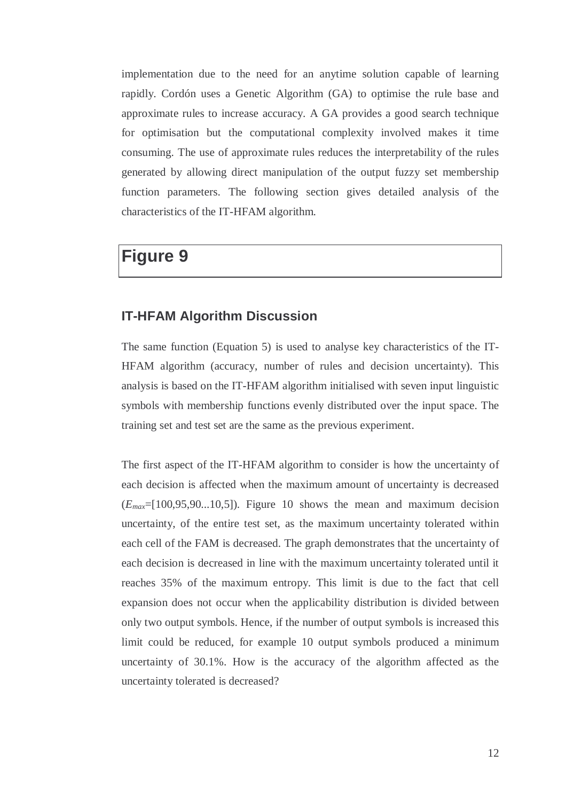implementation due to the need for an anytime solution capable of learning rapidly. Cordón uses a Genetic Algorithm (GA) to optimise the rule base and approximate rules to increase accuracy. A GA provides a good search technique for optimisation but the computational complexity involved makes it time consuming. The use of approximate rules reduces the interpretability of the rules generated by allowing direct manipulation of the output fuzzy set membership function parameters. The following section gives detailed analysis of the characteristics of the IT-HFAM algorithm.

### **Figure 9**

#### **IT-HFAM Algorithm Discussion**

The same function (Equation 5) is used to analyse key characteristics of the IT-HFAM algorithm (accuracy, number of rules and decision uncertainty). This analysis is based on the IT-HFAM algorithm initialised with seven input linguistic symbols with membership functions evenly distributed over the input space. The training set and test set are the same as the previous experiment.

The first aspect of the IT-HFAM algorithm to consider is how the uncertainty of each decision is affected when the maximum amount of uncertainty is decreased  $(E_{max}=[100, 95, 90...10, 5])$ . Figure 10 shows the mean and maximum decision uncertainty, of the entire test set, as the maximum uncertainty tolerated within each cell of the FAM is decreased. The graph demonstrates that the uncertainty of each decision is decreased in line with the maximum uncertainty tolerated until it reaches 35% of the maximum entropy. This limit is due to the fact that cell expansion does not occur when the applicability distribution is divided between only two output symbols. Hence, if the number of output symbols is increased this limit could be reduced, for example 10 output symbols produced a minimum uncertainty of 30.1%. How is the accuracy of the algorithm affected as the uncertainty tolerated is decreased?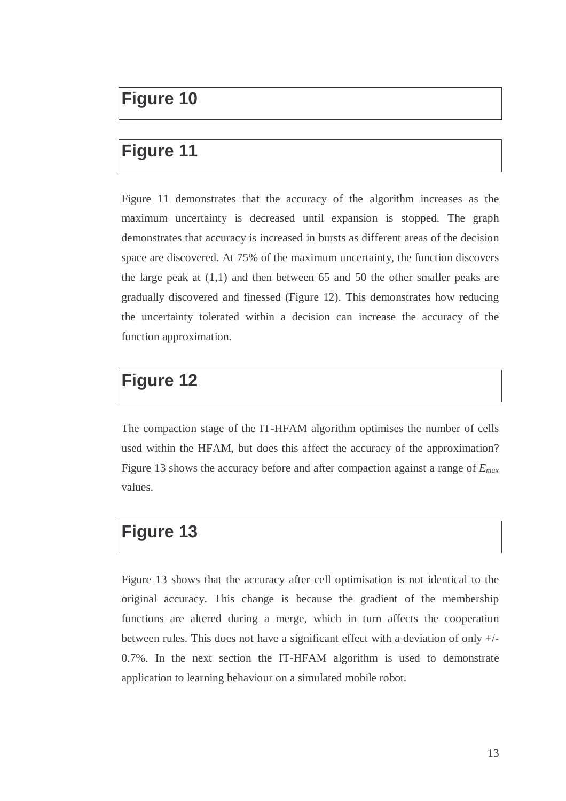## **Figure 11**

Figure 11 demonstrates that the accuracy of the algorithm increases as the maximum uncertainty is decreased until expansion is stopped. The graph demonstrates that accuracy is increased in bursts as different areas of the decision space are discovered. At 75% of the maximum uncertainty, the function discovers the large peak at (1,1) and then between 65 and 50 the other smaller peaks are gradually discovered and finessed (Figure 12). This demonstrates how reducing the uncertainty tolerated within a decision can increase the accuracy of the function approximation.

## **Figure 12**

The compaction stage of the IT-HFAM algorithm optimises the number of cells used within the HFAM, but does this affect the accuracy of the approximation? Figure 13 shows the accuracy before and after compaction against a range of *Emax* values.

## **Figure 13**

Figure 13 shows that the accuracy after cell optimisation is not identical to the original accuracy. This change is because the gradient of the membership functions are altered during a merge, which in turn affects the cooperation between rules. This does not have a significant effect with a deviation of only +/- 0.7%. In the next section the IT-HFAM algorithm is used to demonstrate application to learning behaviour on a simulated mobile robot.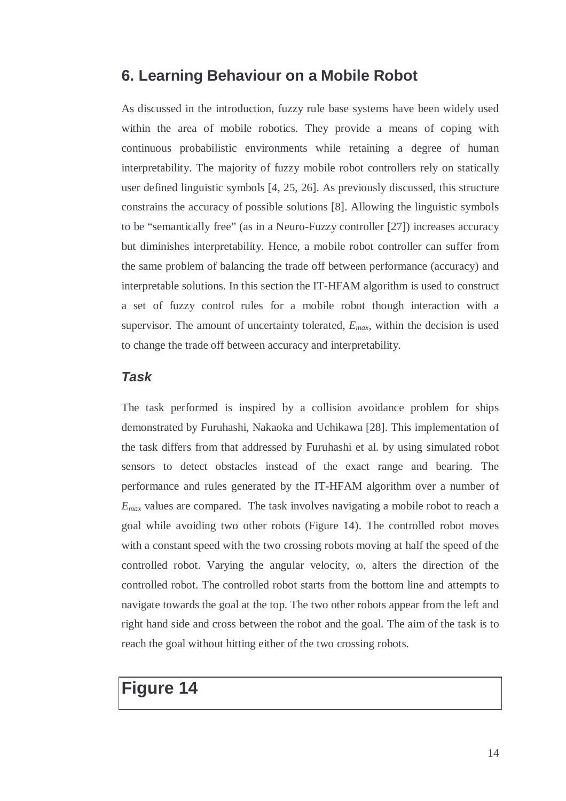### **6. Learning Behaviour on a Mobile Robot**

As discussed in the introduction, fuzzy rule base systems have been widely used within the area of mobile robotics. They provide a means of coping with continuous probabilistic environments while retaining a degree of human interpretability. The majority of fuzzy mobile robot controllers rely on statically user defined linguistic symbols [4, 25, 26]. As previously discussed, this structure constrains the accuracy of possible solutions [8]. Allowing the linguistic symbols to be "semantically free" (as in a Neuro-Fuzzy controller [27]) increases accuracy but diminishes interpretability. Hence, a mobile robot controller can suffer from the same problem of balancing the trade off between performance (accuracy) and interpretable solutions. In this section the IT-HFAM algorithm is used to construct a set of fuzzy control rules for a mobile robot though interaction with a supervisor. The amount of uncertainty tolerated, *Emax*, within the decision is used to change the trade off between accuracy and interpretability.

#### **Task**

The task performed is inspired by a collision avoidance problem for ships demonstrated by Furuhashi, Nakaoka and Uchikawa [28]. This implementation of the task differs from that addressed by Furuhashi et al. by using simulated robot sensors to detect obstacles instead of the exact range and bearing. The performance and rules generated by the IT-HFAM algorithm over a number of *Emax* values are compared. The task involves navigating a mobile robot to reach a goal while avoiding two other robots (Figure 14). The controlled robot moves with a constant speed with the two crossing robots moving at half the speed of the controlled robot. Varying the angular velocity,  $\omega$ , alters the direction of the controlled robot. The controlled robot starts from the bottom line and attempts to navigate towards the goal at the top. The two other robots appear from the left and right hand side and cross between the robot and the goal. The aim of the task is to reach the goal without hitting either of the two crossing robots.

# **Figure 14**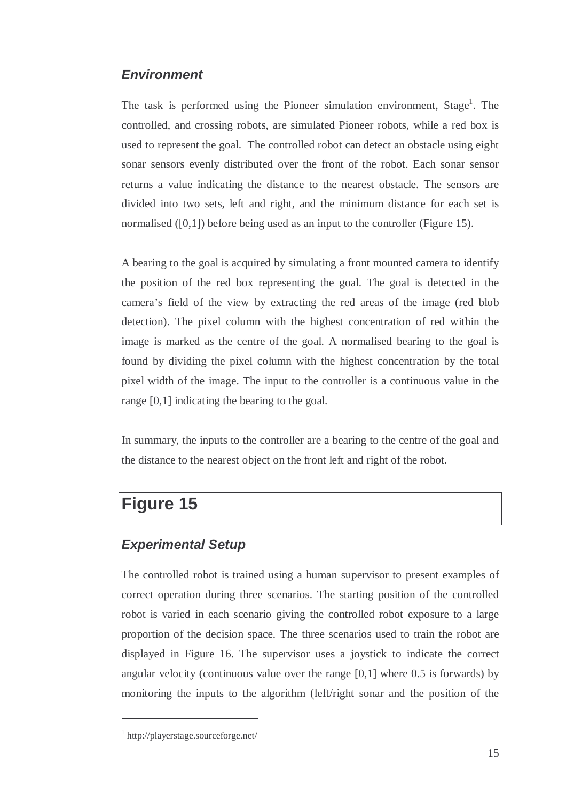#### **Environment**

The task is performed using the Pioneer simulation environment, Stage<sup>1</sup>. The controlled, and crossing robots, are simulated Pioneer robots, while a red box is used to represent the goal. The controlled robot can detect an obstacle using eight sonar sensors evenly distributed over the front of the robot. Each sonar sensor returns a value indicating the distance to the nearest obstacle. The sensors are divided into two sets, left and right, and the minimum distance for each set is normalised ([0,1]) before being used as an input to the controller (Figure 15).

A bearing to the goal is acquired by simulating a front mounted camera to identify the position of the red box representing the goal. The goal is detected in the camera's field of the view by extracting the red areas of the image (red blob detection). The pixel column with the highest concentration of red within the image is marked as the centre of the goal. A normalised bearing to the goal is found by dividing the pixel column with the highest concentration by the total pixel width of the image. The input to the controller is a continuous value in the range [0,1] indicating the bearing to the goal.

In summary, the inputs to the controller are a bearing to the centre of the goal and the distance to the nearest object on the front left and right of the robot.

### **Figure 15**

#### **Experimental Setup**

The controlled robot is trained using a human supervisor to present examples of correct operation during three scenarios. The starting position of the controlled robot is varied in each scenario giving the controlled robot exposure to a large proportion of the decision space. The three scenarios used to train the robot are displayed in Figure 16. The supervisor uses a joystick to indicate the correct angular velocity (continuous value over the range [0,1] where 0.5 is forwards) by monitoring the inputs to the algorithm (left/right sonar and the position of the

 $\overline{a}$ 

<sup>1</sup> http://playerstage.sourceforge.net/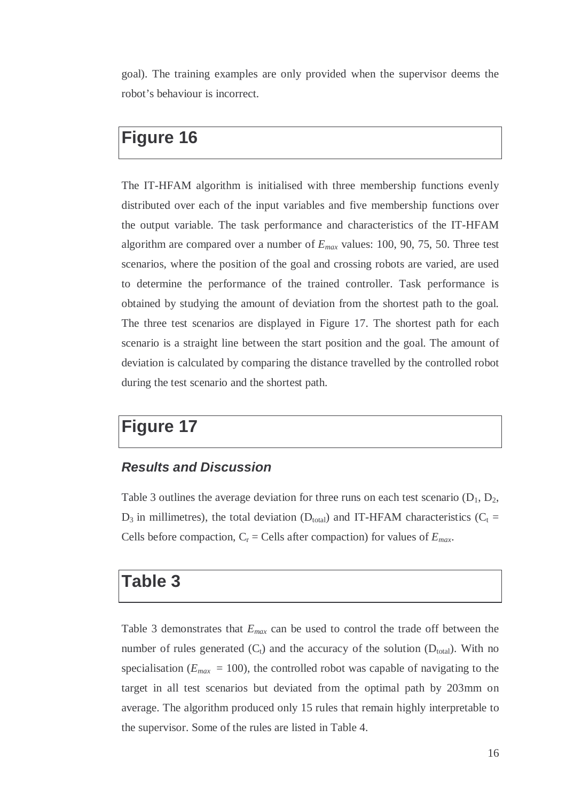goal). The training examples are only provided when the supervisor deems the robot's behaviour is incorrect.

# **Figure 16**

The IT-HFAM algorithm is initialised with three membership functions evenly distributed over each of the input variables and five membership functions over the output variable. The task performance and characteristics of the IT-HFAM algorithm are compared over a number of *Emax* values: 100, 90, 75, 50. Three test scenarios, where the position of the goal and crossing robots are varied, are used to determine the performance of the trained controller. Task performance is obtained by studying the amount of deviation from the shortest path to the goal. The three test scenarios are displayed in Figure 17. The shortest path for each scenario is a straight line between the start position and the goal. The amount of deviation is calculated by comparing the distance travelled by the controlled robot during the test scenario and the shortest path.

## **Figure 17**

#### **Results and Discussion**

Table 3 outlines the average deviation for three runs on each test scenario  $(D_1, D_2,$  $D_3$  in millimetres), the total deviation ( $D_{total}$ ) and IT-HFAM characteristics ( $C_t$  = Cells before compaction,  $C_r$  = Cells after compaction) for values of  $E_{max}$ .

### **Table 3**

Table 3 demonstrates that *Emax* can be used to control the trade off between the number of rules generated  $(C_t)$  and the accuracy of the solution  $(D_{total})$ . With no specialisation ( $E_{max}$  = 100), the controlled robot was capable of navigating to the target in all test scenarios but deviated from the optimal path by 203mm on average. The algorithm produced only 15 rules that remain highly interpretable to the supervisor. Some of the rules are listed in Table 4.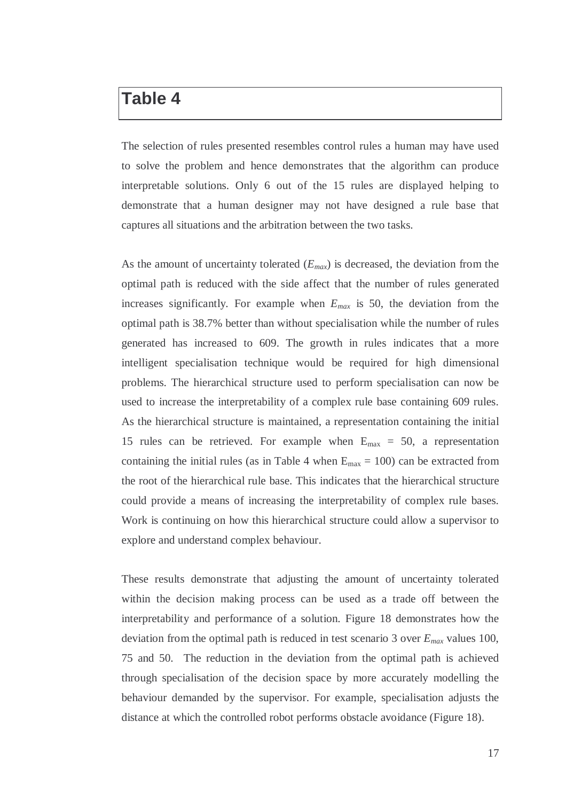### **Table 4**

The selection of rules presented resembles control rules a human may have used to solve the problem and hence demonstrates that the algorithm can produce interpretable solutions. Only 6 out of the 15 rules are displayed helping to demonstrate that a human designer may not have designed a rule base that captures all situations and the arbitration between the two tasks.

As the amount of uncertainty tolerated (*Emax*) is decreased, the deviation from the optimal path is reduced with the side affect that the number of rules generated increases significantly. For example when *Emax* is 50, the deviation from the optimal path is 38.7% better than without specialisation while the number of rules generated has increased to 609. The growth in rules indicates that a more intelligent specialisation technique would be required for high dimensional problems. The hierarchical structure used to perform specialisation can now be used to increase the interpretability of a complex rule base containing 609 rules. As the hierarchical structure is maintained, a representation containing the initial 15 rules can be retrieved. For example when  $E_{\text{max}} = 50$ , a representation containing the initial rules (as in Table 4 when  $E_{max} = 100$ ) can be extracted from the root of the hierarchical rule base. This indicates that the hierarchical structure could provide a means of increasing the interpretability of complex rule bases. Work is continuing on how this hierarchical structure could allow a supervisor to explore and understand complex behaviour.

These results demonstrate that adjusting the amount of uncertainty tolerated within the decision making process can be used as a trade off between the interpretability and performance of a solution. Figure 18 demonstrates how the deviation from the optimal path is reduced in test scenario 3 over *Emax* values 100, 75 and 50. The reduction in the deviation from the optimal path is achieved through specialisation of the decision space by more accurately modelling the behaviour demanded by the supervisor. For example, specialisation adjusts the distance at which the controlled robot performs obstacle avoidance (Figure 18).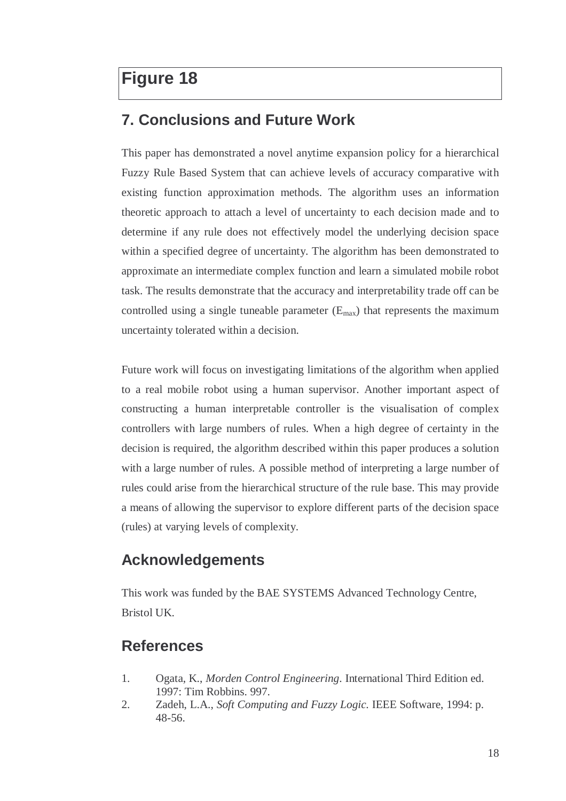# **Figure 18**

### **7. Conclusions and Future Work**

This paper has demonstrated a novel anytime expansion policy for a hierarchical Fuzzy Rule Based System that can achieve levels of accuracy comparative with existing function approximation methods. The algorithm uses an information theoretic approach to attach a level of uncertainty to each decision made and to determine if any rule does not effectively model the underlying decision space within a specified degree of uncertainty. The algorithm has been demonstrated to approximate an intermediate complex function and learn a simulated mobile robot task. The results demonstrate that the accuracy and interpretability trade off can be controlled using a single tuneable parameter  $(E_{\text{max}})$  that represents the maximum uncertainty tolerated within a decision.

Future work will focus on investigating limitations of the algorithm when applied to a real mobile robot using a human supervisor. Another important aspect of constructing a human interpretable controller is the visualisation of complex controllers with large numbers of rules. When a high degree of certainty in the decision is required, the algorithm described within this paper produces a solution with a large number of rules. A possible method of interpreting a large number of rules could arise from the hierarchical structure of the rule base. This may provide a means of allowing the supervisor to explore different parts of the decision space (rules) at varying levels of complexity.

### **Acknowledgements**

This work was funded by the BAE SYSTEMS Advanced Technology Centre, Bristol UK.

### **References**

- 1. Ogata, K., *Morden Control Engineering*. International Third Edition ed. 1997: Tim Robbins. 997.
- 2. Zadeh, L.A., *Soft Computing and Fuzzy Logic.* IEEE Software, 1994: p. 48-56.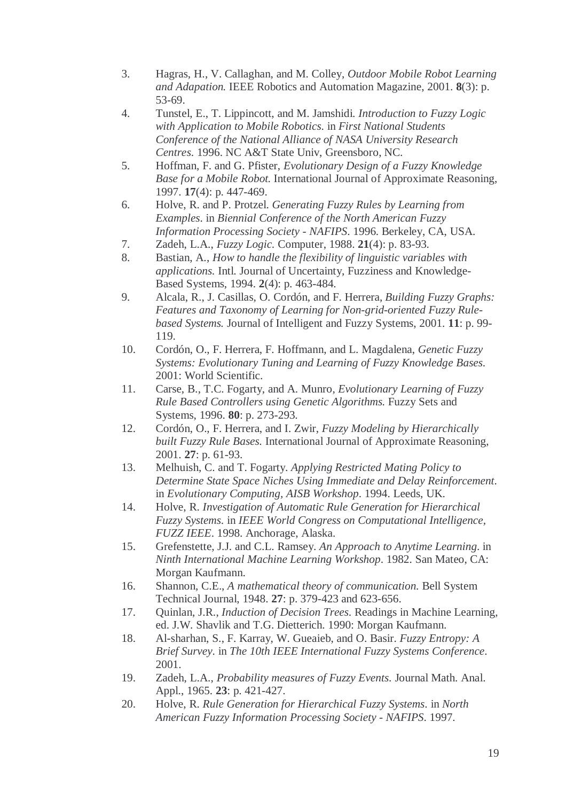- 3. Hagras, H., V. Callaghan, and M. Colley, *Outdoor Mobile Robot Learning and Adapation.* IEEE Robotics and Automation Magazine, 2001. **8**(3): p. 53-69.
- 4. Tunstel, E., T. Lippincott, and M. Jamshidi. *Introduction to Fuzzy Logic with Application to Mobile Robotics*. in *First National Students Conference of the National Alliance of NASA University Research Centres*. 1996. NC A&T State Univ, Greensboro, NC.
- 5. Hoffman, F. and G. Pfister, *Evolutionary Design of a Fuzzy Knowledge Base for a Mobile Robot.* International Journal of Approximate Reasoning, 1997. **17**(4): p. 447-469.
- 6. Holve, R. and P. Protzel. *Generating Fuzzy Rules by Learning from Examples*. in *Biennial Conference of the North American Fuzzy Information Processing Society - NAFIPS*. 1996. Berkeley, CA, USA.
- 7. Zadeh, L.A., *Fuzzy Logic.* Computer, 1988. **21**(4): p. 83-93.
- 8. Bastian, A., *How to handle the flexibility of linguistic variables with applications.* Intl. Journal of Uncertainty, Fuzziness and Knowledge-Based Systems, 1994. **2**(4): p. 463-484.
- 9. Alcala, R., J. Casillas, O. Cordón, and F. Herrera, *Building Fuzzy Graphs: Features and Taxonomy of Learning for Non-grid-oriented Fuzzy Rulebased Systems.* Journal of Intelligent and Fuzzy Systems, 2001. **11**: p. 99- 119.
- 10. Cordón, O., F. Herrera, F. Hoffmann, and L. Magdalena, *Genetic Fuzzy Systems: Evolutionary Tuning and Learning of Fuzzy Knowledge Bases*. 2001: World Scientific.
- 11. Carse, B., T.C. Fogarty, and A. Munro, *Evolutionary Learning of Fuzzy Rule Based Controllers using Genetic Algorithms.* Fuzzy Sets and Systems, 1996. **80**: p. 273-293.
- 12. Cordón, O., F. Herrera, and I. Zwir, *Fuzzy Modeling by Hierarchically built Fuzzy Rule Bases.* International Journal of Approximate Reasoning, 2001. **27**: p. 61-93.
- 13. Melhuish, C. and T. Fogarty. *Applying Restricted Mating Policy to Determine State Space Niches Using Immediate and Delay Reinforcement*. in *Evolutionary Computing, AISB Workshop*. 1994. Leeds, UK.
- 14. Holve, R. *Investigation of Automatic Rule Generation for Hierarchical Fuzzy Systems*. in *IEEE World Congress on Computational Intelligence, FUZZ IEEE*. 1998. Anchorage, Alaska.
- 15. Grefenstette, J.J. and C.L. Ramsey. *An Approach to Anytime Learning*. in *Ninth International Machine Learning Workshop*. 1982. San Mateo, CA: Morgan Kaufmann.
- 16. Shannon, C.E., *A mathematical theory of communication.* Bell System Technical Journal, 1948. **27**: p. 379-423 and 623-656.
- 17. Quinlan, J.R., *Induction of Decision Trees*. Readings in Machine Learning, ed. J.W. Shavlik and T.G. Dietterich. 1990: Morgan Kaufmann.
- 18. Al-sharhan, S., F. Karray, W. Gueaieb, and O. Basir. *Fuzzy Entropy: A Brief Survey*. in *The 10th IEEE International Fuzzy Systems Conference*. 2001.
- 19. Zadeh, L.A., *Probability measures of Fuzzy Events.* Journal Math. Anal. Appl., 1965. **23**: p. 421-427.
- 20. Holve, R. *Rule Generation for Hierarchical Fuzzy Systems*. in *North American Fuzzy Information Processing Society - NAFIPS*. 1997.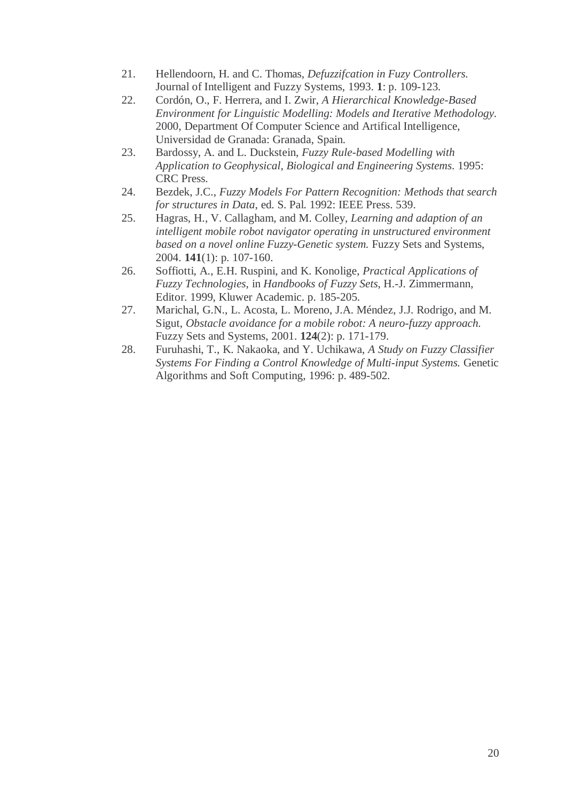- 21. Hellendoorn, H. and C. Thomas, *Defuzzifcation in Fuzy Controllers.* Journal of Intelligent and Fuzzy Systems, 1993. **1**: p. 109-123.
- 22. Cordón, O., F. Herrera, and I. Zwir, *A Hierarchical Knowledge-Based Environment for Linguistic Modelling: Models and Iterative Methodology.* 2000, Department Of Computer Science and Artifical Intelligence, Universidad de Granada: Granada, Spain.
- 23. Bardossy, A. and L. Duckstein, *Fuzzy Rule-based Modelling with Application to Geophysical, Biological and Engineering Systems*. 1995: CRC Press.
- 24. Bezdek, J.C., *Fuzzy Models For Pattern Recognition: Methods that search for structures in Data*, ed. S. Pal. 1992: IEEE Press. 539.
- 25. Hagras, H., V. Callagham, and M. Colley, *Learning and adaption of an intelligent mobile robot navigator operating in unstructured environment based on a novel online Fuzzy-Genetic system.* Fuzzy Sets and Systems, 2004. **141**(1): p. 107-160.
- 26. Soffiotti, A., E.H. Ruspini, and K. Konolige, *Practical Applications of Fuzzy Technologies*, in *Handbooks of Fuzzy Sets*, H.-J. Zimmermann, Editor. 1999, Kluwer Academic. p. 185-205.
- 27. Marichal, G.N., L. Acosta, L. Moreno, J.A. Méndez, J.J. Rodrigo, and M. Sigut, *Obstacle avoidance for a mobile robot: A neuro-fuzzy approach.* Fuzzy Sets and Systems, 2001. **124**(2): p. 171-179.
- 28. Furuhashi, T., K. Nakaoka, and Y. Uchikawa, *A Study on Fuzzy Classifier Systems For Finding a Control Knowledge of Multi-input Systems.* Genetic Algorithms and Soft Computing, 1996: p. 489-502.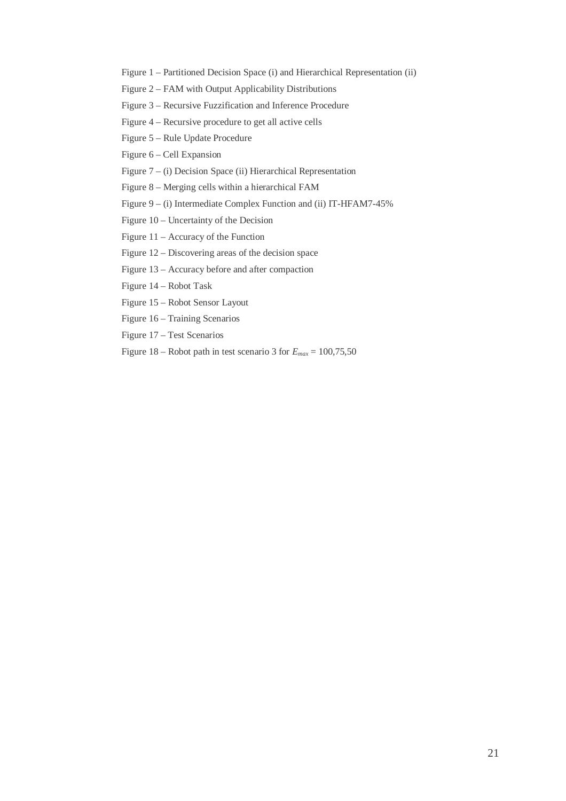- Figure 1 Partitioned Decision Space (i) and Hierarchical Representation (ii)
- Figure 2 FAM with Output Applicability Distributions
- Figure 3 Recursive Fuzzification and Inference Procedure
- Figure 4 Recursive procedure to get all active cells
- Figure 5 Rule Update Procedure
- Figure 6 Cell Expansion
- Figure 7 (i) Decision Space (ii) Hierarchical Representation
- Figure 8 Merging cells within a hierarchical FAM
- Figure 9 (i) Intermediate Complex Function and (ii) IT-HFAM7-45%
- Figure 10 Uncertainty of the Decision
- Figure 11 Accuracy of the Function
- Figure 12 Discovering areas of the decision space
- Figure 13 Accuracy before and after compaction
- Figure 14 Robot Task
- Figure 15 Robot Sensor Layout
- Figure 16 Training Scenarios
- Figure 17 Test Scenarios
- Figure 18 Robot path in test scenario 3 for *Emax* = 100,75,50